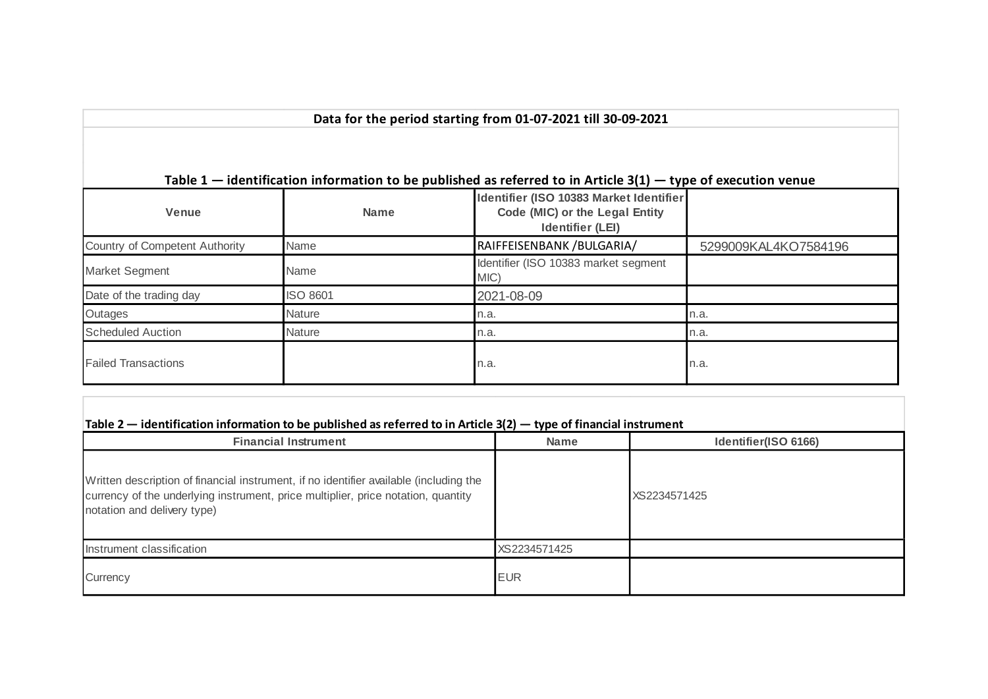| Data for the period starting from 01-07-2021 till 30-09-2021                                                      |                 |                                                                                                      |                      |  |  |  |  |  |  |  |  |
|-------------------------------------------------------------------------------------------------------------------|-----------------|------------------------------------------------------------------------------------------------------|----------------------|--|--|--|--|--|--|--|--|
| Table $1$ – identification information to be published as referred to in Article $3(1)$ – type of execution venue |                 |                                                                                                      |                      |  |  |  |  |  |  |  |  |
| Venue                                                                                                             | <b>Name</b>     | Identifier (ISO 10383 Market Identifier<br>Code (MIC) or the Legal Entity<br><b>Identifier (LEI)</b> |                      |  |  |  |  |  |  |  |  |
| Country of Competent Authority                                                                                    | Name            | RAIFFEISENBANK / BULGARIA/                                                                           | 5299009KAL4KO7584196 |  |  |  |  |  |  |  |  |
| Market Segment                                                                                                    | Name            | Identifier (ISO 10383 market segment<br>MIC)                                                         |                      |  |  |  |  |  |  |  |  |
| Date of the trading day                                                                                           | <b>ISO 8601</b> | 2021-08-09                                                                                           |                      |  |  |  |  |  |  |  |  |
| Outages                                                                                                           | <b>Nature</b>   | n.a.                                                                                                 | n.a.                 |  |  |  |  |  |  |  |  |
| <b>Scheduled Auction</b>                                                                                          | <b>Nature</b>   | n.a.                                                                                                 | n.a.                 |  |  |  |  |  |  |  |  |
| <b>Failed Transactions</b>                                                                                        |                 | n.a.                                                                                                 | n.a.                 |  |  |  |  |  |  |  |  |

| <b>Financial Instrument</b>                                                                                                                                                                                | <b>Name</b>  | Identifier(ISO 6166) |
|------------------------------------------------------------------------------------------------------------------------------------------------------------------------------------------------------------|--------------|----------------------|
| Written description of financial instrument, if no identifier available (including the<br>currency of the underlying instrument, price multiplier, price notation, quantity<br>notation and delivery type) |              | XS2234571425         |
| Instrument classification                                                                                                                                                                                  | XS2234571425 |                      |
| Currency                                                                                                                                                                                                   | <b>EUR</b>   |                      |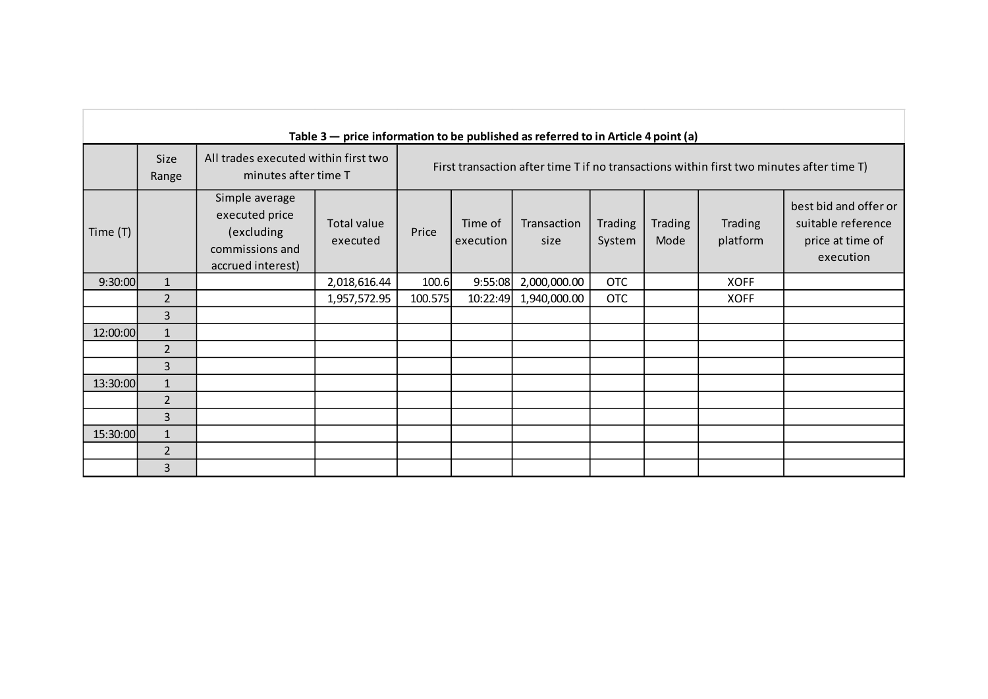|          | Table $3$ – price information to be published as referred to in Article 4 point (a) |                                                                                        |                         |         |                                                                                          |                     |                          |                        |                     |                                                                              |  |
|----------|-------------------------------------------------------------------------------------|----------------------------------------------------------------------------------------|-------------------------|---------|------------------------------------------------------------------------------------------|---------------------|--------------------------|------------------------|---------------------|------------------------------------------------------------------------------|--|
|          | <b>Size</b><br>Range                                                                | All trades executed within first two<br>minutes after time T                           |                         |         | First transaction after time T if no transactions within first two minutes after time T) |                     |                          |                        |                     |                                                                              |  |
| Time (T) |                                                                                     | Simple average<br>executed price<br>(excluding<br>commissions and<br>accrued interest) | Total value<br>executed | Price   | Time of<br>execution                                                                     | Transaction<br>size | <b>Trading</b><br>System | <b>Trading</b><br>Mode | Trading<br>platform | best bid and offer or<br>suitable reference<br>price at time of<br>execution |  |
| 9:30:00  | $\mathbf{1}$                                                                        |                                                                                        | 2,018,616.44            | 100.6   | 9:55:08                                                                                  | 2,000,000.00        | <b>OTC</b>               |                        | <b>XOFF</b>         |                                                                              |  |
|          | $\overline{2}$                                                                      |                                                                                        | 1,957,572.95            | 100.575 | 10:22:49                                                                                 | 1,940,000.00        | <b>OTC</b>               |                        | <b>XOFF</b>         |                                                                              |  |
|          | 3                                                                                   |                                                                                        |                         |         |                                                                                          |                     |                          |                        |                     |                                                                              |  |
| 12:00:00 | $\mathbf{1}$                                                                        |                                                                                        |                         |         |                                                                                          |                     |                          |                        |                     |                                                                              |  |
|          | $\overline{2}$                                                                      |                                                                                        |                         |         |                                                                                          |                     |                          |                        |                     |                                                                              |  |
|          | 3                                                                                   |                                                                                        |                         |         |                                                                                          |                     |                          |                        |                     |                                                                              |  |
| 13:30:00 | $\mathbf{1}$                                                                        |                                                                                        |                         |         |                                                                                          |                     |                          |                        |                     |                                                                              |  |
|          | $\overline{2}$                                                                      |                                                                                        |                         |         |                                                                                          |                     |                          |                        |                     |                                                                              |  |
|          | 3                                                                                   |                                                                                        |                         |         |                                                                                          |                     |                          |                        |                     |                                                                              |  |
| 15:30:00 | $\mathbf{1}$                                                                        |                                                                                        |                         |         |                                                                                          |                     |                          |                        |                     |                                                                              |  |
|          | $\overline{2}$                                                                      |                                                                                        |                         |         |                                                                                          |                     |                          |                        |                     |                                                                              |  |
|          | 3                                                                                   |                                                                                        |                         |         |                                                                                          |                     |                          |                        |                     |                                                                              |  |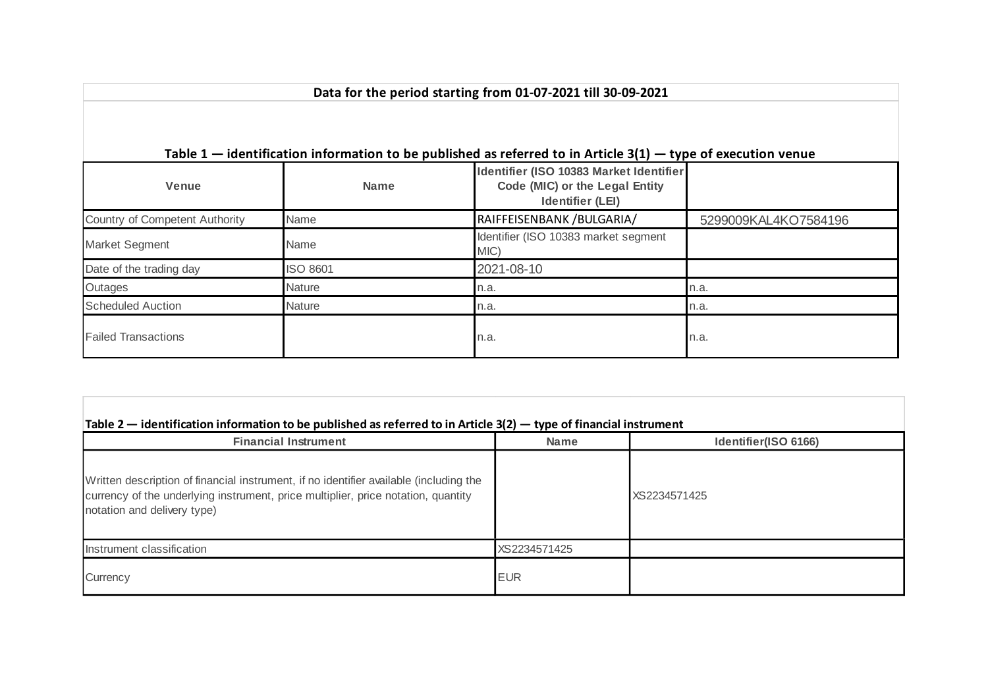| Data for the period starting from 01-07-2021 till 30-09-2021 |                 |                                                                                                                 |                      |  |  |  |  |  |
|--------------------------------------------------------------|-----------------|-----------------------------------------------------------------------------------------------------------------|----------------------|--|--|--|--|--|
|                                                              |                 | Table $1$ – identification information to be published as referred to in Article 3(1) – type of execution venue |                      |  |  |  |  |  |
| <b>Venue</b>                                                 | <b>Name</b>     | Identifier (ISO 10383 Market Identifier<br>Code (MIC) or the Legal Entity<br><b>Identifier (LEI)</b>            |                      |  |  |  |  |  |
| Country of Competent Authority                               | Name            | RAIFFEISENBANK /BULGARIA/                                                                                       | 5299009KAL4KO7584196 |  |  |  |  |  |
| <b>Market Segment</b>                                        | Name            | Identifier (ISO 10383 market segment<br>MIC)                                                                    |                      |  |  |  |  |  |
| Date of the trading day                                      | <b>ISO 8601</b> | 2021-08-10                                                                                                      |                      |  |  |  |  |  |
| Outages                                                      | <b>Nature</b>   | n.a.                                                                                                            | n.a.                 |  |  |  |  |  |
| <b>Scheduled Auction</b>                                     | <b>Nature</b>   | n.a.                                                                                                            | n.a.                 |  |  |  |  |  |
| <b>Failed Transactions</b>                                   |                 | n.a.                                                                                                            | n.a.                 |  |  |  |  |  |

| <b>Financial Instrument</b>                                                                                                                                                                                | <b>Name</b>  | Identifier(ISO 6166) |
|------------------------------------------------------------------------------------------------------------------------------------------------------------------------------------------------------------|--------------|----------------------|
| Written description of financial instrument, if no identifier available (including the<br>currency of the underlying instrument, price multiplier, price notation, quantity<br>notation and delivery type) |              | XS2234571425         |
| Instrument classification                                                                                                                                                                                  | XS2234571425 |                      |
| Currency                                                                                                                                                                                                   | <b>EUR</b>   |                      |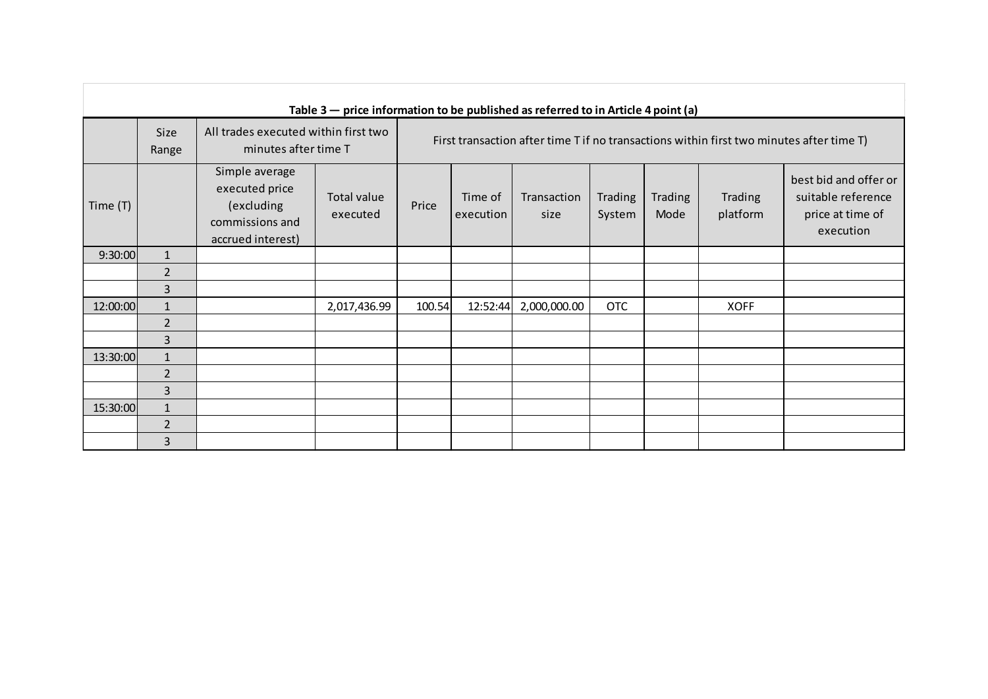|            | Table $3$ – price information to be published as referred to in Article 4 point (a) |                                                                                        |                         |                                                                                          |                      |                     |                          |                        |                     |                                                                              |
|------------|-------------------------------------------------------------------------------------|----------------------------------------------------------------------------------------|-------------------------|------------------------------------------------------------------------------------------|----------------------|---------------------|--------------------------|------------------------|---------------------|------------------------------------------------------------------------------|
|            | <b>Size</b><br>Range                                                                | All trades executed within first two<br>minutes after time T                           |                         | First transaction after time T if no transactions within first two minutes after time T) |                      |                     |                          |                        |                     |                                                                              |
| Time $(T)$ |                                                                                     | Simple average<br>executed price<br>(excluding<br>commissions and<br>accrued interest) | Total value<br>executed | Price                                                                                    | Time of<br>execution | Transaction<br>size | <b>Trading</b><br>System | <b>Trading</b><br>Mode | Trading<br>platform | best bid and offer or<br>suitable reference<br>price at time of<br>execution |
| 9:30:00    | $\mathbf{1}$                                                                        |                                                                                        |                         |                                                                                          |                      |                     |                          |                        |                     |                                                                              |
|            | $\overline{2}$                                                                      |                                                                                        |                         |                                                                                          |                      |                     |                          |                        |                     |                                                                              |
|            | $\overline{3}$                                                                      |                                                                                        |                         |                                                                                          |                      |                     |                          |                        |                     |                                                                              |
| 12:00:00   | $\mathbf{1}$                                                                        |                                                                                        | 2,017,436.99            | 100.54                                                                                   | 12:52:44             | 2,000,000.00        | <b>OTC</b>               |                        | <b>XOFF</b>         |                                                                              |
|            | $\overline{2}$                                                                      |                                                                                        |                         |                                                                                          |                      |                     |                          |                        |                     |                                                                              |
|            | $\overline{3}$                                                                      |                                                                                        |                         |                                                                                          |                      |                     |                          |                        |                     |                                                                              |
| 13:30:00   | $\mathbf{1}$                                                                        |                                                                                        |                         |                                                                                          |                      |                     |                          |                        |                     |                                                                              |
|            | $\overline{2}$                                                                      |                                                                                        |                         |                                                                                          |                      |                     |                          |                        |                     |                                                                              |
|            | 3                                                                                   |                                                                                        |                         |                                                                                          |                      |                     |                          |                        |                     |                                                                              |
| 15:30:00   | $\mathbf{1}$                                                                        |                                                                                        |                         |                                                                                          |                      |                     |                          |                        |                     |                                                                              |
|            | $\overline{2}$                                                                      |                                                                                        |                         |                                                                                          |                      |                     |                          |                        |                     |                                                                              |
|            | 3                                                                                   |                                                                                        |                         |                                                                                          |                      |                     |                          |                        |                     |                                                                              |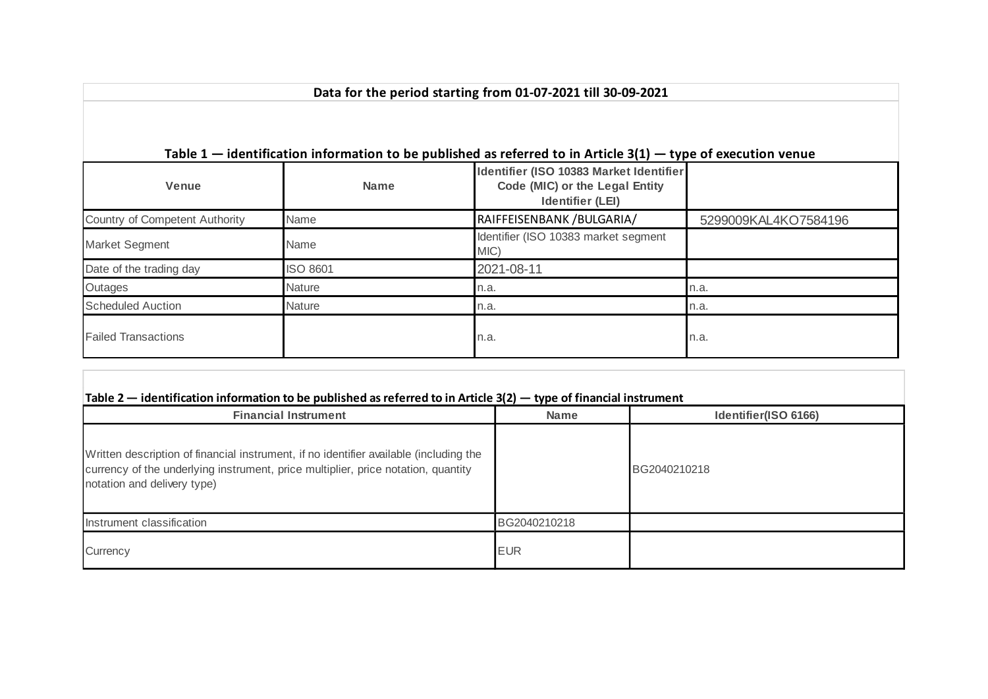| Table $1$ – identification information to be published as referred to in Article 3(1) – type of execution venue |                 |                                                                                                      |                      |  |  |  |  |  |  |  |
|-----------------------------------------------------------------------------------------------------------------|-----------------|------------------------------------------------------------------------------------------------------|----------------------|--|--|--|--|--|--|--|
| Venue                                                                                                           | <b>Name</b>     | Identifier (ISO 10383 Market Identifier<br>Code (MIC) or the Legal Entity<br><b>Identifier (LEI)</b> |                      |  |  |  |  |  |  |  |
| Country of Competent Authority                                                                                  | Name            | RAIFFEISENBANK / BULGARIA/                                                                           | 5299009KAL4KO7584196 |  |  |  |  |  |  |  |
| <b>Market Segment</b>                                                                                           | Name            | Identifier (ISO 10383 market segment<br>MIC)                                                         |                      |  |  |  |  |  |  |  |
| Date of the trading day                                                                                         | <b>ISO 8601</b> | 2021-08-11                                                                                           |                      |  |  |  |  |  |  |  |
| Outages                                                                                                         | <b>Nature</b>   | n.a.                                                                                                 | n.a.                 |  |  |  |  |  |  |  |
| <b>Scheduled Auction</b>                                                                                        | <b>Nature</b>   | n.a.                                                                                                 | n.a.                 |  |  |  |  |  |  |  |
| <b>Failed Transactions</b>                                                                                      |                 | n.a.                                                                                                 | n.a.                 |  |  |  |  |  |  |  |

**Data for the period starting from 01-07-2021 till 30-09-2021**

| <b>Financial Instrument</b>                                                                                                                                                                                | <b>Name</b>  | Identifier(ISO 6166) |
|------------------------------------------------------------------------------------------------------------------------------------------------------------------------------------------------------------|--------------|----------------------|
| Written description of financial instrument, if no identifier available (including the<br>currency of the underlying instrument, price multiplier, price notation, quantity<br>notation and delivery type) |              | BG2040210218         |
| Instrument classification                                                                                                                                                                                  | BG2040210218 |                      |
| Currency                                                                                                                                                                                                   | <b>EUR</b>   |                      |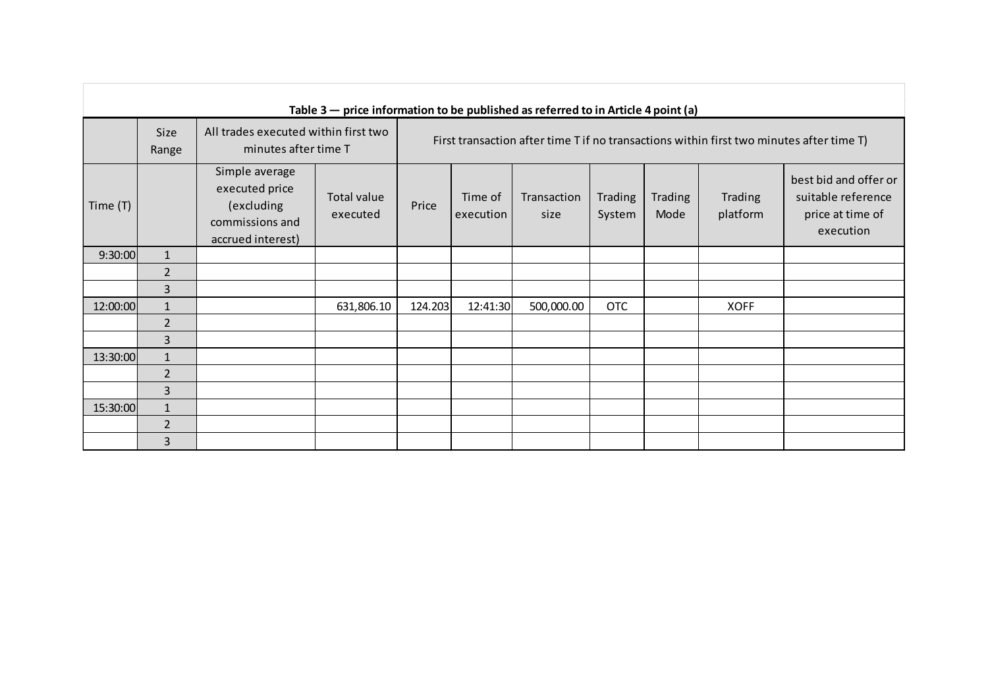|            | Table $3$ – price information to be published as referred to in Article 4 point (a) |                                                                                        |                                |                                                                                          |                      |                     |                          |                        |                     |                                                                              |
|------------|-------------------------------------------------------------------------------------|----------------------------------------------------------------------------------------|--------------------------------|------------------------------------------------------------------------------------------|----------------------|---------------------|--------------------------|------------------------|---------------------|------------------------------------------------------------------------------|
|            | <b>Size</b><br>Range                                                                | All trades executed within first two<br>minutes after time T                           |                                | First transaction after time T if no transactions within first two minutes after time T) |                      |                     |                          |                        |                     |                                                                              |
| Time $(T)$ |                                                                                     | Simple average<br>executed price<br>(excluding<br>commissions and<br>accrued interest) | <b>Total value</b><br>executed | Price                                                                                    | Time of<br>execution | Transaction<br>size | <b>Trading</b><br>System | <b>Trading</b><br>Mode | Trading<br>platform | best bid and offer or<br>suitable reference<br>price at time of<br>execution |
| 9:30:00    | $\mathbf{1}$                                                                        |                                                                                        |                                |                                                                                          |                      |                     |                          |                        |                     |                                                                              |
|            | $\overline{2}$                                                                      |                                                                                        |                                |                                                                                          |                      |                     |                          |                        |                     |                                                                              |
|            | $\overline{3}$                                                                      |                                                                                        |                                |                                                                                          |                      |                     |                          |                        |                     |                                                                              |
| 12:00:00   | $\mathbf{1}$                                                                        |                                                                                        | 631,806.10                     | 124.203                                                                                  | 12:41:30             | 500,000.00          | <b>OTC</b>               |                        | <b>XOFF</b>         |                                                                              |
|            | $\overline{2}$                                                                      |                                                                                        |                                |                                                                                          |                      |                     |                          |                        |                     |                                                                              |
|            | $\overline{3}$                                                                      |                                                                                        |                                |                                                                                          |                      |                     |                          |                        |                     |                                                                              |
| 13:30:00   | $\mathbf{1}$                                                                        |                                                                                        |                                |                                                                                          |                      |                     |                          |                        |                     |                                                                              |
|            | $\overline{2}$                                                                      |                                                                                        |                                |                                                                                          |                      |                     |                          |                        |                     |                                                                              |
|            | 3                                                                                   |                                                                                        |                                |                                                                                          |                      |                     |                          |                        |                     |                                                                              |
| 15:30:00   | $\mathbf{1}$                                                                        |                                                                                        |                                |                                                                                          |                      |                     |                          |                        |                     |                                                                              |
|            | $\overline{2}$                                                                      |                                                                                        |                                |                                                                                          |                      |                     |                          |                        |                     |                                                                              |
|            | 3                                                                                   |                                                                                        |                                |                                                                                          |                      |                     |                          |                        |                     |                                                                              |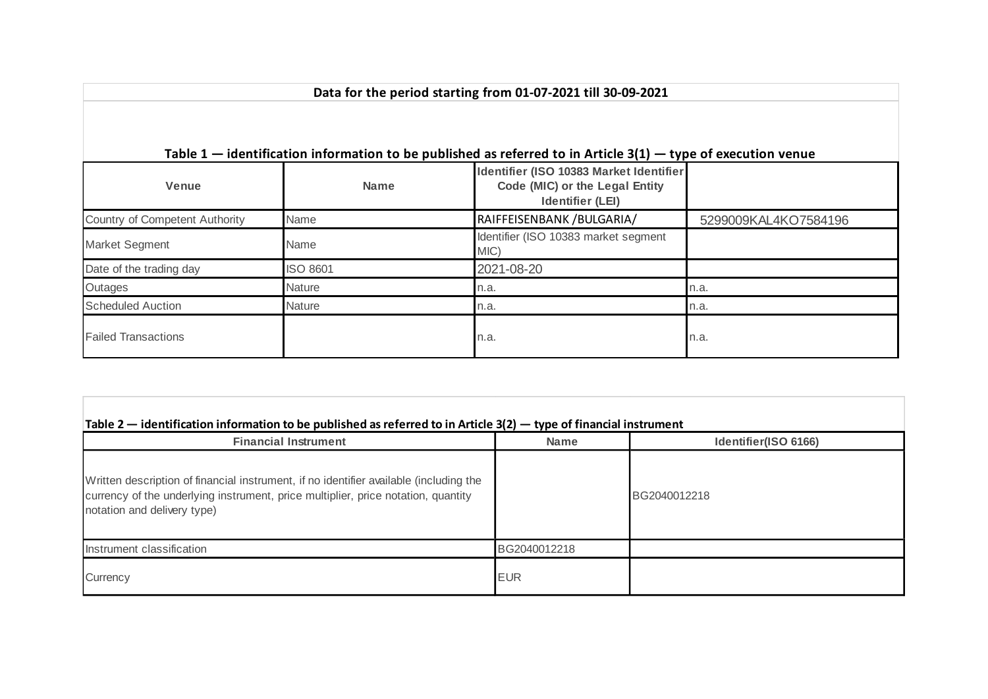|                                |                 | Table $1$ – identification information to be published as referred to in Article 3(1) – type of execution venue |                      |
|--------------------------------|-----------------|-----------------------------------------------------------------------------------------------------------------|----------------------|
| <b>Venue</b>                   | <b>Name</b>     | Identifier (ISO 10383 Market Identifier<br>Code (MIC) or the Legal Entity<br><b>Identifier (LEI)</b>            |                      |
| Country of Competent Authority | Name            | RAIFFEISENBANK / BULGARIA/                                                                                      | 5299009KAL4KO7584196 |
| <b>Market Segment</b>          | Name            | Identifier (ISO 10383 market segment<br>MIC)                                                                    |                      |
| Date of the trading day        | <b>ISO 8601</b> | 2021-08-20                                                                                                      |                      |
| Outages                        | <b>Nature</b>   | n.a.                                                                                                            | n.a.                 |
| Scheduled Auction              | <b>Nature</b>   | n.a.                                                                                                            | n.a.                 |
| <b>Failed Transactions</b>     |                 | n.a.                                                                                                            | n.a.                 |

**Data for the period starting from 01-07-2021 till 30-09-2021**

| <b>Financial Instrument</b>                                                                                                                                                                                | <b>Name</b>  | Identifier(ISO 6166) |
|------------------------------------------------------------------------------------------------------------------------------------------------------------------------------------------------------------|--------------|----------------------|
| Written description of financial instrument, if no identifier available (including the<br>currency of the underlying instrument, price multiplier, price notation, quantity<br>notation and delivery type) |              | BG2040012218         |
| Instrument classification                                                                                                                                                                                  | BG2040012218 |                      |
| Currency                                                                                                                                                                                                   | <b>EUR</b>   |                      |